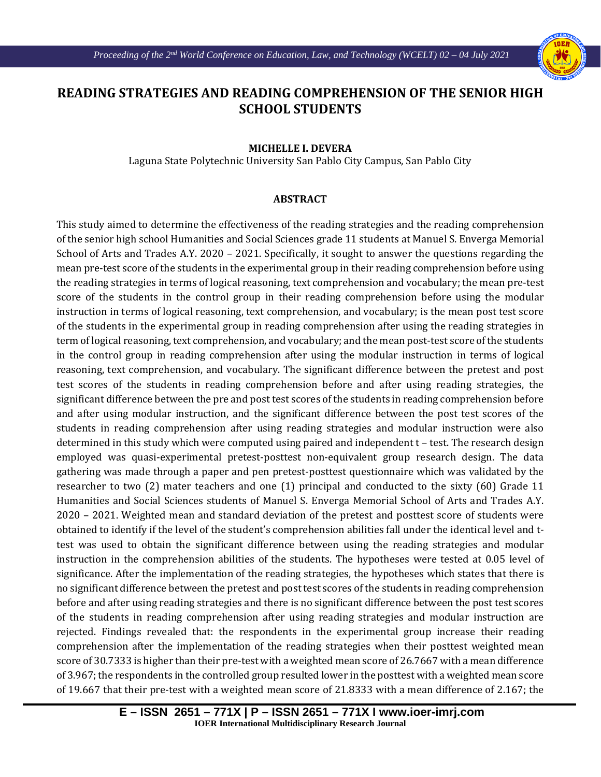

## **READING STRATEGIES AND READING COMPREHENSION OF THE SENIOR HIGH SCHOOL STUDENTS**

Ι

## **MICHELLE I. DEVERA**

Laguna State Polytechnic University San Pablo City Campus, San Pablo City

## **ABSTRACT**

This study aimed to determine the effectiveness of the reading strategies and the reading comprehension of the senior high school Humanities and Social Sciences grade 11 students at Manuel S. Enverga Memorial School of Arts and Trades A.Y. 2020 – 2021. Specifically, it sought to answer the questions regarding the mean pre-test score of the students in the experimental group in their reading comprehension before using the reading strategies in terms of logical reasoning, text comprehension and vocabulary; the mean pre-test score of the students in the control group in their reading comprehension before using the modular instruction in terms of logical reasoning, text comprehension, and vocabulary; is the mean post test score of the students in the experimental group in reading comprehension after using the reading strategies in term of logical reasoning, text comprehension, and vocabulary; and the mean post-test score of the students in the control group in reading comprehension after using the modular instruction in terms of logical reasoning, text comprehension, and vocabulary. The significant difference between the pretest and post test scores of the students in reading comprehension before and after using reading strategies, the significant difference between the pre and post test scores of the students in reading comprehension before and after using modular instruction, and the significant difference between the post test scores of the students in reading comprehension after using reading strategies and modular instruction were also determined in this study which were computed using paired and independent t – test. The research design employed was quasi-experimental pretest-posttest non-equivalent group research design. The data gathering was made through a paper and pen pretest-posttest questionnaire which was validated by the researcher to two (2) mater teachers and one (1) principal and conducted to the sixty (60) Grade 11 Humanities and Social Sciences students of Manuel S. Enverga Memorial School of Arts and Trades A.Y. 2020 – 2021. Weighted mean and standard deviation of the pretest and posttest score of students were obtained to identify if the level of the student's comprehension abilities fall under the identical level and ttest was used to obtain the significant difference between using the reading strategies and modular instruction in the comprehension abilities of the students. The hypotheses were tested at 0.05 level of significance. After the implementation of the reading strategies, the hypotheses which states that there is no significant difference between the pretest and post test scores of the students in reading comprehension before and after using reading strategies and there is no significant difference between the post test scores of the students in reading comprehension after using reading strategies and modular instruction are rejected. Findings revealed that: the respondents in the experimental group increase their reading comprehension after the implementation of the reading strategies when their posttest weighted mean score of 30.7333 is higher than their pre-test with a weighted mean score of 26.7667 with a mean difference of 3.967; the respondents in the controlled group resulted lower in the posttest with a weighted mean score of 19.667 that their pre-test with a weighted mean score of 21.8333 with a mean difference of 2.167; the